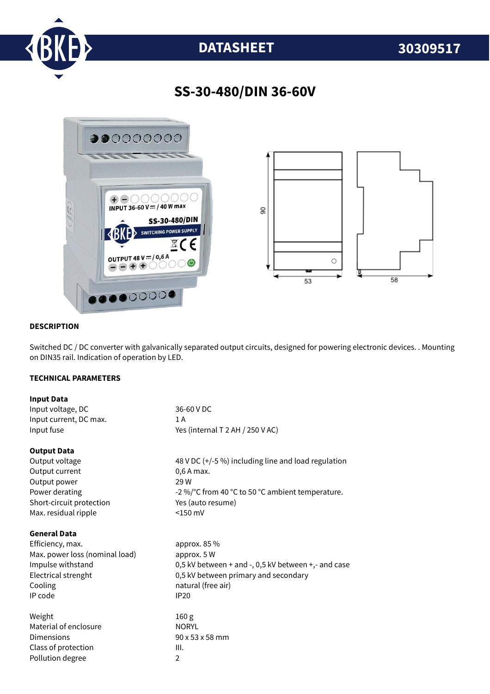

# **DATASHEET 30309517**

## **SS-30-480/DIN 36-60V**



#### **DESCRIPTION**

Switched DC / DC converter with galvanically separated output circuits, designed for powering electronic devices. . Mounting on DIN35 rail. Indication of operation by LED.

#### **TECHNICAL PARAMETERS**

| <b>Input Data</b>              |                                                     |
|--------------------------------|-----------------------------------------------------|
| Input voltage, DC              | 36-60 V DC                                          |
| Input current, DC max.         | 1 A                                                 |
| Input fuse                     | Yes (internal T 2 AH / 250 V AC)                    |
| <b>Output Data</b>             |                                                     |
| Output voltage                 | 48 V DC (+/-5 %) including line and load regulation |
| Output current                 | 0,6 A max.                                          |
| Output power                   | 29 W                                                |
| Power derating                 | -2 %/°C from 40 °C to 50 °C ambient temperature.    |
| Short-circuit protection       | Yes (auto resume)                                   |
| Max. residual ripple           | $<$ 150 mV                                          |
| <b>General Data</b>            |                                                     |
| Efficiency, max.               | approx. 85 %                                        |
| Max. power loss (nominal load) | approx. 5 W                                         |
| Impulse withstand              | 0,5 kV between + and -, 0,5 kV between +,- and case |
| Electrical strenght            | 0,5 kV between primary and secondary                |
| Cooling                        | natural (free air)                                  |
| IP code                        | <b>IP20</b>                                         |
| Weight                         | 160 <sub>g</sub>                                    |
| Material of enclosure          | <b>NORYL</b>                                        |
| Dimensions                     | 90 x 53 x 58 mm                                     |
| Class of protection            | III.                                                |
| Pollution degree               | $\overline{2}$                                      |
|                                |                                                     |